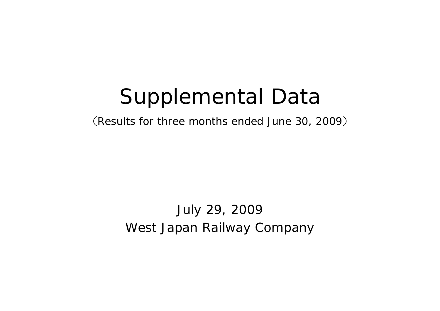# Supplemental Data

(Results for three months ended June 30, 2009 )

#### West Japan Railway Company July 29, 2009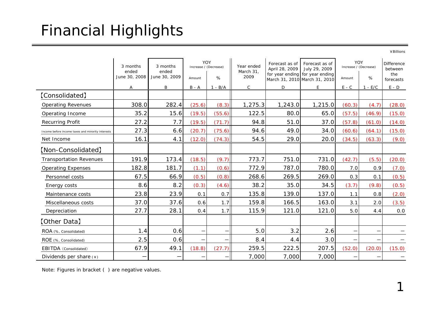## Financial Highlights

¥Billions

|                                                   | 3 months<br>ended<br>June 30, 2008 | 3 months<br>ended<br>June 30, 2009 | YOY<br>Increase / (Decrease)<br>Amount | %                 | Year ended<br>March 31,<br>2009 | Forecast as of<br>April 28, 2009 | Forecast as of<br>July 29, 2009<br>for year ending for year ending<br>March 31, 2010 March 31, 2010 | YOY<br>Increase / (Decrease)<br>Amount | $\%$      | <b>Difference</b><br>between<br>the<br>forecasts |
|---------------------------------------------------|------------------------------------|------------------------------------|----------------------------------------|-------------------|---------------------------------|----------------------------------|-----------------------------------------------------------------------------------------------------|----------------------------------------|-----------|--------------------------------------------------|
|                                                   | Α                                  | B                                  | $B - A$                                | $1 - B/A$         | $\mathsf{C}$                    | D                                | E.                                                                                                  | $E - C$                                | $1 - E/C$ | $E - D$                                          |
| [Consolidated]                                    |                                    |                                    |                                        |                   |                                 |                                  |                                                                                                     |                                        |           |                                                  |
| <b>Operating Revenues</b>                         | 308.0                              | 282.4                              | (25.6)                                 | (8.3)             | 1,275.3                         | 1,243.0                          | 1,215.0                                                                                             | (60.3)                                 | (4.7)     | (28.0)                                           |
| Operating Income                                  | 35.2                               | 15.6                               | (19.5)                                 | (55.6)            | 122.5                           | 80.0                             | 65.0                                                                                                | (57.5)                                 | (46.9)    | (15.0)                                           |
| <b>Recurring Profit</b>                           | 27.2                               | 7.7                                | (19.5)                                 | (71.7)            | 94.8                            | 51.0                             | 37.0                                                                                                | (57.8)                                 | (61.0)    | (14.0)                                           |
| Income before income taxes and minority interests | 27.3                               | 6.6                                | (20.7)                                 | (75.6)            | 94.6                            | 49.0                             | 34.0                                                                                                | (60.6)                                 | (64.1)    | (15.0)                                           |
| Net Income                                        | 16.1                               | 4.1                                | (12.0)                                 | (74.3)            | 54.5                            | 29.0                             | 20.0                                                                                                | (34.5)                                 | (63.3)    | (9.0)                                            |
| [Non-Consolidated]                                |                                    |                                    |                                        |                   |                                 |                                  |                                                                                                     |                                        |           |                                                  |
| <b>Transportation Revenues</b>                    | 191.9                              | 173.4                              | (18.5)                                 | (9.7)             | 773.7                           | 751.0                            | 731.0                                                                                               | (42.7)                                 | (5.5)     | (20.0)                                           |
| <b>Operating Expenses</b>                         | 182.8                              | 181.7                              | (1.1)                                  | (0.6)             | 772.9                           | 787.0                            | 780.0                                                                                               | 7.0                                    | 0.9       | (7.0)                                            |
| Personnel costs                                   | 67.5                               | 66.9                               | (0.5)                                  | (0.8)             | 268.6                           | 269.5                            | 269.0                                                                                               | 0.3                                    | 0.1       | (0.5)                                            |
| Energy costs                                      | 8.6                                | 8.2                                | (0.3)                                  | (4.6)             | 38.2                            | 35.0                             | 34.5                                                                                                | (3.7)                                  | (9.8)     | (0.5)                                            |
| Maintenance costs                                 | 23.8                               | 23.9                               | 0.1                                    | 0.7               | 135.8                           | 139.0                            | 137.0                                                                                               | 1.1                                    | 0.8       | (2.0)                                            |
| Miscellaneous costs                               | 37.0                               | 37.6                               | 0.6                                    | 1.7               | 159.8                           | 166.5                            | 163.0                                                                                               | 3.1                                    | 2.0       | (3.5)                                            |
| Depreciation                                      | 27.7                               | 28.1                               | 0.4                                    | 1.7               | 115.9                           | 121.0                            | 121.0                                                                                               | 5.0                                    | 4.4       | $0.0\,$                                          |
| [Other Data]                                      |                                    |                                    |                                        |                   |                                 |                                  |                                                                                                     |                                        |           |                                                  |
| ROA (%, Consolidated)                             | 1.4                                | 0.6                                | —                                      | $\qquad \qquad -$ | 5.0                             | 3.2                              | 2.6                                                                                                 | —                                      |           |                                                  |
| ROE (%, Consolidated)                             | 2.5                                | 0.6                                |                                        | —                 | 8.4                             | 4.4                              | 3.0                                                                                                 | —                                      |           |                                                  |
| EBITDA (Consolidated)                             | 67.9                               | 49.1                               | (18.8)                                 | (27.7)            | 259.5                           | 222.5                            | 207.5                                                                                               | (52.0)                                 | (20.0)    | (15.0)                                           |
| Dividends per share $(*)$                         |                                    |                                    |                                        | —                 | 7,000                           | 7,000                            | 7,000                                                                                               |                                        |           |                                                  |

Note: Figures in bracket ( ) are negative values.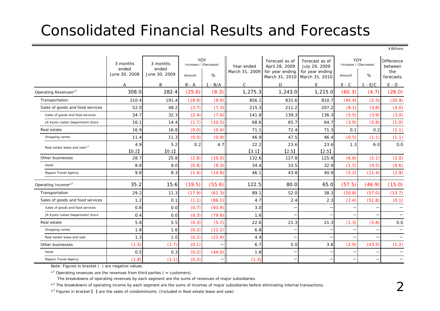### Consolidated Financial Results and Forecasts

¥Billions

|                                          | 3 months<br>ended<br>June 30, 2008 | 3 months<br>ended<br>June 30, 2009 | Increase / (Decrease)<br>Amount | YOY<br>%                 | Year ended<br>March 31, 2009 | Forecast as of<br>April 28, 2009<br>for year ending | Forecast as of<br>July 29, 2009<br>for year ending<br>March 31, 2010 March 31, 2010 | YOY<br>Increase / (Decrease)<br>%<br>Amount |           | <b>Difference</b><br>between<br>the<br>forecasts |
|------------------------------------------|------------------------------------|------------------------------------|---------------------------------|--------------------------|------------------------------|-----------------------------------------------------|-------------------------------------------------------------------------------------|---------------------------------------------|-----------|--------------------------------------------------|
|                                          | $\overline{A}$                     | B                                  | $B - A$                         | $1 - B/A$                | $\mathsf{C}$                 | D                                                   | E                                                                                   | $E - C$                                     | $1 - E/C$ | $E - D$                                          |
| Operating Revenues <sup>*1</sup>         | 308.0                              | 282.4                              | (25.6)                          | (8.3)                    | 1,275.3                      | 1,243.0                                             | 1,215.0                                                                             | (60.3)                                      | (4.7)     | (28.0)                                           |
| Transportation                           | 210.4                              | 191.4                              | (18.9)                          | (9.0)                    | 856.1                        | 831.6                                               | 810.7                                                                               | (45.4)                                      | (5.3)     | (20.9)                                           |
| Sales of goods and food services         | 52.0                               | 48.2                               | (3.7)                           | (7.3)                    | 215.3                        | 211.2                                               | 207.2                                                                               | (8.1)                                       | (3.8)     | (4.0)                                            |
| Sales of goods and food services         | 34.7                               | 32.3                               | (2.4)                           | (7.0)                    | 141.8                        | 139.3                                               | 136.3                                                                               | (5.5)                                       | (3.9)     | (3.0)                                            |
| JR Kyoto Isetan Department Store         | 16.1                               | 14.4                               | (1.7)                           | (10.5)                   | 68.6                         | 65.7                                                | 64.7                                                                                | (3.9)                                       | (5.8)     | (1.0)                                            |
| Real estate                              | 16.9                               | 16.8                               | (0.0)                           | (0.4)                    | 71.1                         | 72.4                                                | 71.3                                                                                | 0.1                                         | 0.2       | (1.1)                                            |
| Shopping center                          | 11.4                               | 11.3                               | (0.0)                           | (0.9)                    | 46.9                         | 47.5                                                | 46.4                                                                                | (0.5)                                       | (1.1)     | (1.1)                                            |
| Real estate lease and sale* <sup>3</sup> | 4.9                                | 5.2                                | 0.2                             | 4.7                      | 22.2                         | 23.6                                                | 23.6                                                                                | 1.3                                         | 6.0       | 0.0                                              |
|                                          | [0.2]                              | [0.1]                              |                                 |                          | $[3.1]$                      | [2.5]                                               | [2.5]                                                                               |                                             |           |                                                  |
| Other businesses                         | 28.7                               | 25.8                               | (2.8)                           | (10.0)                   | 132.6                        | 127.8                                               | 125.8                                                                               | (6.8)                                       | (5.1)     | (2.0)                                            |
| Hotel                                    | 8.8                                | 8.0                                | (0.8)                           | (9.3)                    | 34.4                         | 33.5                                                | 32.9                                                                                | (1.5)                                       | (4.5)     | (0.6)                                            |
| Nippon Travel Agency                     | 9.8                                | 8.3                                | (1.4)                           | (14.8)                   | 46.1                         | 43.8                                                | 40.9                                                                                | (5.2)                                       | (11.4)    | (2.9)                                            |
| Operating Income $*^2$                   | 35.2                               | 15.6                               | (19.5)                          | (55.6)                   | 122.5                        | 80.0                                                | 65.0                                                                                | (57.5)                                      | (46.9)    | (15.0)                                           |
| Transportation                           | 29.2                               | 11.3                               | (17.9)                          | (61.3)                   | 89.1                         | 52.0                                                | 38.3                                                                                | (50.8)                                      | (57.0)    | (13.7)                                           |
| Sales of goods and food services         | 1.2                                | 0.1                                | (1.1)                           | (86.1)                   | 4.7                          | 2.4                                                 | 2.3                                                                                 | (2.4)                                       | (51.8)    | (0.1)                                            |
| Sales of goods and food services         | 0.8                                | 0.0                                | (0.7)                           | (93.9)                   | 3.0                          |                                                     |                                                                                     |                                             |           |                                                  |
| JR Kyoto Isetan Department Store         | O.4                                | 0.0                                | (0.3)                           | (79.9)                   | 1.6                          |                                                     |                                                                                     |                                             |           |                                                  |
| Real estate                              | 5.8                                | 5.5                                | (0.3)                           | (5.7)                    | 22.6                         | 21.3                                                | 21.3                                                                                | (1.3)                                       | (5.8)     | 0.0                                              |
| Shopping center                          | 1.8                                | 1.6                                | (0.2)                           | (12.2)                   | 6.8                          |                                                     |                                                                                     | $\overline{\phantom{0}}$                    |           |                                                  |
| Real estate lease and sale               | 1.3                                | 1.0                                | (0.2)                           | (21.4)                   | 4.4                          |                                                     |                                                                                     |                                             |           |                                                  |
| Other businesses                         | (1.5)                              | (1.7)                              | (0.1)                           | $\overline{\phantom{0}}$ | 6.7                          | 5.0                                                 | 3.8                                                                                 | (2.9)                                       | (43.5)    | (1.2)                                            |
| Hotel                                    | 0.5                                | 0.3                                | (0.2)                           | (44.0)                   | 1.8                          |                                                     |                                                                                     | $\overline{\phantom{0}}$                    |           |                                                  |
| Nippon Travel Agency                     | (1.8)                              | (2.1)                              | (0.2)                           | —                        | (1.3)                        |                                                     |                                                                                     | $\overline{\phantom{0}}$                    |           |                                                  |

Note: Figures in bracket ( ) are negative values.

 $*$ <sup>1</sup> Operating revenues are the revenues from third parties ( = customers).

The breakdowns of operating revenues by each segment are the sums of revenues of major subsidiaries.

\*<sup>2</sup> The breakdowns of operating income by each segment are the sums of incomes of major subsidiaries before eliminating internal transactions.

\*3 Figures in bracket 【 】 are the sales of condominiums. (Included in Real estate lease and sale)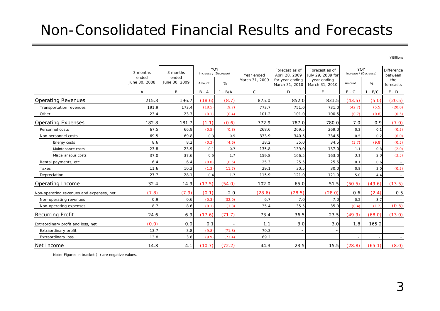#### Non-Consolidated Financial Results and Forecasts

¥Billions

|                                          | 3 months<br>ended<br>June 30, 2008 | 3 months<br>ended<br>June 30, 2009 | Increase / (Decrease) | YOY                   | Year ended<br>March 31, 2009 | Forecast as of<br>April 28, 2009<br>for year ending | Forecast as of<br>July 29, 2009 for<br>year ending | YOY<br>Increase / (Decrease) |        | <b>Difference</b><br>between<br>the |
|------------------------------------------|------------------------------------|------------------------------------|-----------------------|-----------------------|------------------------------|-----------------------------------------------------|----------------------------------------------------|------------------------------|--------|-------------------------------------|
|                                          |                                    |                                    | Amount                | %                     |                              | March 31, 2010                                      | March 31, 2010                                     | Amount                       | $\%$   | forecasts                           |
|                                          | А                                  | B                                  | $B - A$               | $-B/A$<br>$\mathbf 1$ | $\mathsf{C}$                 | D                                                   | E                                                  | $E - C$                      | $-E/C$ | $E - D$                             |
| <b>Operating Revenues</b>                | 215.3                              | 196.7                              | (18.6)                | (8.7)                 | 875.0                        | 852.0                                               | 831.5                                              | (43.5)                       | (5.0)  | (20.5)                              |
| <b>Transportation revenues</b>           | 191.9                              | 173.4                              | (18.5)                | (9.7)                 | 773.7                        | 751.0                                               | 731.0                                              | (42.7)                       | (5.5)  | (20.0)                              |
| Other                                    | 23.4                               | 23.3                               | (0.1)                 | (0.4)                 | 101.2                        | 101.0                                               | 100.5                                              | (0.7)                        | (0.8)  | (0.5)                               |
| <b>Operating Expenses</b>                | 182.8                              | 181.7                              | (1.1)                 | (0.6)                 | 772.9                        | 787.0                                               | 780.0                                              | 7.0                          | 0.9    | (7.0)                               |
| Personnel costs                          | 67.5                               | 66.9                               | (0.5)                 | (0.8)                 | 268.6                        | 269.5                                               | 269.0                                              | 0.3                          | 0.1    | (0.5)                               |
| Non personnel costs                      | 69.5                               | 69.8                               | 0.3                   | 0.5                   | 333.9                        | 340.5                                               | 334.5                                              | 0.5                          | 0.2    | (6.0)                               |
| Energy costs                             | 8.6                                | 8.2                                | (0.3)                 | (4.6)                 | 38.2                         | 35.0                                                | 34.5                                               | (3.7)                        | (9.8)  | (0.5)                               |
| Maintenance costs                        | 23.8                               | 23.9                               | 0.1                   | 0.7                   | 135.8                        | 139.0                                               | 137.0                                              | 1.1                          | 0.8    | (2.0)                               |
| Miscellaneous costs                      | 37.0                               | 37.6                               | 0.6                   | 1.7                   | 159.8                        | 166.5                                               | 163.0                                              | 3.1                          | 2.0    | (3.5)                               |
| Rental payments, etc.                    | 6.4                                | 6.4                                | (0.0)                 | (0.6)                 | 25.3                         | 25.5                                                | 25.5                                               | 0.1                          | 0.6    | $\sim$                              |
| Taxes                                    | 11.6                               | 10.2                               | (1.3)                 | (11.7)                | 29.1                         | 30.5                                                | 30.0                                               | 0.8                          | 3.0    | (0.5)                               |
| Depreciation                             | 27.7                               | 28.1                               | 0.4                   | 1.7                   | 115.9                        | 121.0                                               | 121.0                                              | 5.0                          | 4.4    |                                     |
| Operating Income                         | 32.4                               | 14.9                               | (17.5)                | (54.0)                | 102.0                        | 65.0                                                | 51.5                                               | (50.5)                       | (49.6) | (13.5)                              |
| Non-operating revenues and expenses, net | (7.8)                              | (7.9)                              | (0.1)                 | 2.0                   | (28.6)                       | (28.5)                                              | (28.0)                                             | 0.6                          | (2.4)  | 0.5                                 |
| Non-operating revenues                   | 0.9                                | 0.6                                | (0.3)                 | (32.0)                | 6.7                          | 7.0                                                 | 7.0                                                | 0.2                          | 3.7    |                                     |
| Non-operating expenses                   | 8.7                                | 8.6                                | (0.1)                 | (1.8)                 | 35.4                         | 35.5                                                | 35.0                                               | (0.4)                        | (1.2)  | (0.5)                               |
| <b>Recurring Profit</b>                  | 24.6                               | 6.9                                | (17.6)                | (71.7)                | 73.4                         | 36.5                                                | 23.5                                               | (49.9)                       | (68.0) | (13.0)                              |
| Extraordinary profit and loss, net       | (0.0)                              | 0.0                                | 0.1                   |                       | 1.1                          | 3.0                                                 | 3.0                                                | 1.8                          | 165.2  |                                     |
| Extraordinary profit                     | 13.7                               | 3.8                                | (9.8)                 | (71.8)                | 70.3                         |                                                     |                                                    |                              |        |                                     |
| Extraordinary loss                       | 13.8                               | 3.8                                | (9.9)                 | (72.4)                | 69.2                         |                                                     |                                                    |                              |        |                                     |
| Net Income                               | 14.8                               | 4.1                                | (10.7)                | (72.2)                | 44.3                         | 23.5                                                | 15.5                                               | (28.8)                       | (65.1) | (8.0)                               |

Note: Figures in bracket ( ) are negative values.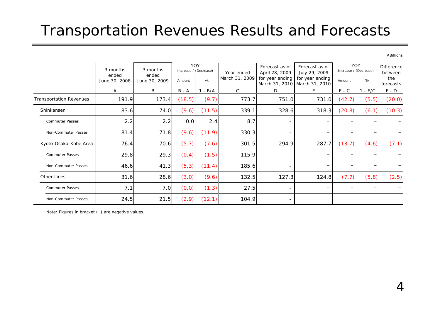### Transportation Revenues Results and Forecasts

¥Billions

|                                | 3 months               | 3 months               | <b>YOY</b><br>Increase / (Decrease) |        | Year ended     | Forecast as of<br>April 28, 2009                 | Forecast as of<br>July 29, 2009 | YOY<br>Increase / (Decrease) |       | Difference<br>between |
|--------------------------------|------------------------|------------------------|-------------------------------------|--------|----------------|--------------------------------------------------|---------------------------------|------------------------------|-------|-----------------------|
|                                | ended<br>June 30, 2008 | ended<br>June 30, 2009 | Amount                              | %      | March 31, 2009 | for year ending<br>March 31, 2010 March 31, 2010 | for year ending                 | Amount                       | %     | the<br>forecasts      |
|                                | $\mathsf{A}$           | B                      | B - A                               | - B/A  | C              | D                                                | E.                              | $E - C$                      | - E/C | $E - D$               |
| <b>Transportation Revenues</b> | 191.9                  | 173.4                  | (18.5)                              | (9.7)  | 773.7          | 751.0                                            | 731.0                           | (42.7)                       | (5.5) | (20.0)                |
| Shinkansen                     | 83.6                   | 74.0                   | (9.6)                               | (11.5) | 339.1          | 328.6                                            | 318.3                           | (20.8)                       | (6.1) | (10.3)                |
| <b>Commuter Passes</b>         | 2.2                    | 2.2                    | 0.0                                 | 2.4    | 8.7            |                                                  |                                 | -                            |       |                       |
| Non-Commuter Passes            | 81.4                   | 71.8                   | (9.6)                               | (11.9) | 330.3          |                                                  |                                 | $\qquad \qquad -$            |       |                       |
| Kyoto-Osaka-Kobe Area          | 76.4                   | 70.6                   | (5.7)                               | (7.6)  | 301.5          | 294.9                                            | 287.7                           | (13.7)                       | (4.6) | (7.1)                 |
| <b>Commuter Passes</b>         | 29.8                   | 29.3                   | (0.4)                               | (1.5)  | 115.9          |                                                  |                                 | $\qquad \qquad -$            |       |                       |
| Non-Commuter Passes            | 46.6                   | 41.3                   | (5.3)                               | (11.4) | 185.6          |                                                  |                                 | $\overline{\phantom{0}}$     |       |                       |
| Other Lines                    | 31.6                   | 28.6                   | (3.0)                               | (9.6)  | 132.5          | 127.3                                            | 124.8                           | (7.7)                        | (5.8) | (2.5)                 |
| <b>Commuter Passes</b>         | 7.1                    | 7.0                    | (0.0)                               | (1.3)  | 27.5           |                                                  |                                 | $\overline{\phantom{m}}$     |       |                       |
| Non-Commuter Passes            | 24.5                   | 21.5                   | (2.9)                               | (12.1) | 104.9          |                                                  |                                 | $\qquad \qquad -$            |       |                       |

Note: Figures in bracket ( ) are negative values.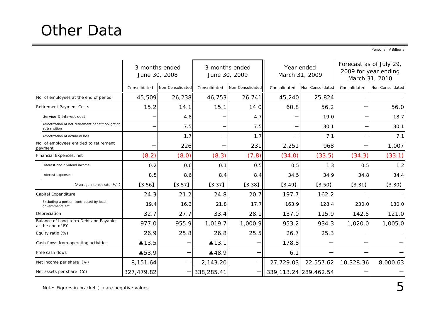Persons, ¥Billions

|                                                                    |              | 3 months ended<br>June 30, 2008 |              | 3 months ended<br>June 30, 2009 |              | Year ended<br>March 31, 2009 |              | Forecast as of July 29,<br>2009 for year ending<br>March 31, 2010 |
|--------------------------------------------------------------------|--------------|---------------------------------|--------------|---------------------------------|--------------|------------------------------|--------------|-------------------------------------------------------------------|
|                                                                    | Consolidated | Non-Consolidated                | Consolidated | Non-Consolidated                | Consolidated | Non-Consolidated             | Consolidated | Non-Consolidated                                                  |
| No. of employees at the end of period                              | 45,509       | 26,238                          | 46,753       | 26,741                          | 45,240       | 25,824                       |              |                                                                   |
| <b>Retirement Payment Costs</b>                                    | 15.2         | 14.1                            | 15.1         | 14.0                            | 60.8         | 56.2                         |              | 56.0                                                              |
| Service & Interest cost                                            |              | 4.8                             |              | 4.7                             |              | 19.0                         |              | 18.7                                                              |
| Amortization of net retirement benefit obligation<br>at transition |              | 7.5                             | —            | 7.5                             |              | 30.1                         |              | 30.1                                                              |
| Amortization of actuarial loss                                     |              | 1.7                             | —            | 1.7                             |              | 7.1                          |              | 7.1                                                               |
| No. of employees entitled to retirement<br>payment                 |              | 226                             | —            | 231                             | 2,251        | 968                          |              | 1,007                                                             |
| Financial Expenses, net                                            | (8.2)        | (8.0)                           | (8.3)        | (7.8)                           | (34.0)       | (33.5)                       | (34.3)       | (33.1)                                                            |
| Interest and dividend income                                       | 0.2          | 0.6                             | 0.1          | 0.5                             | 0.5          | 1.3                          | 0.5          | 1.2                                                               |
| Interest expenses                                                  | 8.5          | 8.6                             | 8.4          | 8.4                             | 34.5         | 34.9                         | 34.8         | 34.4                                                              |
| [Average interest rate (%) ]                                       | $[3.56]$     | $[3.57]$                        | $[3.37]$     | [3.38]                          | [3.49]       | $[3.50]$                     | [3.31]       | $[3.30]$                                                          |
| Capital Expenditure                                                | 24.3         | 21.2                            | 24.8         | 20.7                            | 197.7        | 162.2                        |              |                                                                   |
| Excluding a portion contributed by local<br>governments etc.       | 19.4         | 16.3                            | 21.8         | 17.7                            | 163.9        | 128.4                        | 230.0        | 180.0                                                             |
| Depreciation                                                       | 32.7         | 27.7                            | 33.4         | 28.1                            | 137.0        | 115.9                        | 142.5        | 121.0                                                             |
| Balance of Long-term Debt and Payables<br>at the end of FY         | 977.0        | 955.9                           | 1,019.7      | 1,000.9                         | 953.2        | 934.3                        | 1,020.0      | 1,005.0                                                           |
| Equity ratio (%)                                                   | 26.9         | 25.8                            | 26.8         | 25.5                            | 26.7         | 25.3                         |              |                                                                   |
| Cash flows from operating activities                               | ▲13.5        |                                 | ▲13.1        |                                 | 178.8        |                              |              |                                                                   |
| Free cash flows                                                    | ▲53.9        |                                 | ▲48.9        |                                 | 6.1          |                              |              |                                                                   |
| Net income per share $(*)$                                         | 8,151.64     |                                 | 2,143.20     |                                 | 27,729.03    | 22,557.62                    | 10,328.36    | 8,000.63                                                          |
| Net assets per share $(*)$                                         | 327,479.82   |                                 | 338,285.41   |                                 |              | 339, 113.24 289, 462.54      |              |                                                                   |